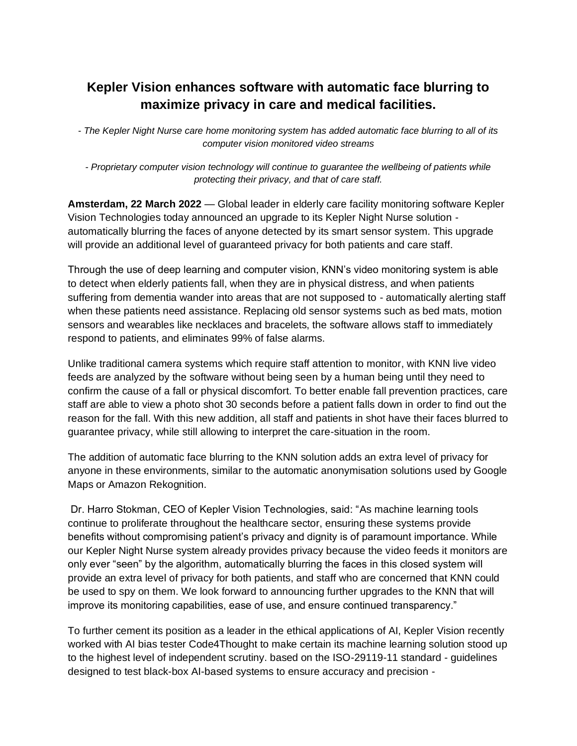## **Kepler Vision enhances software with automatic face blurring to maximize privacy in care and medical facilities.**

- *The Kepler Night Nurse care home monitoring system has added automatic face blurring to all of its computer vision monitored video streams* 

*- Proprietary computer vision technology will continue to guarantee the wellbeing of patients while protecting their privacy, and that of care staff.*

**Amsterdam, 22 March 2022** — Global leader in elderly care facility monitoring software Kepler Vision Technologies today announced an upgrade to its Kepler Night Nurse solution automatically blurring the faces of anyone detected by its smart sensor system. This upgrade will provide an additional level of guaranteed privacy for both patients and care staff.

Through the use of deep learning and computer vision, KNN's video monitoring system is able to detect when elderly patients fall, when they are in physical distress, and when patients suffering from dementia wander into areas that are not supposed to - automatically alerting staff when these patients need assistance. Replacing old sensor systems such as bed mats, motion sensors and wearables like necklaces and bracelets, the software allows staff to immediately respond to patients, and eliminates 99% of false alarms.

Unlike traditional camera systems which require staff attention to monitor, with KNN live video feeds are analyzed by the software without being seen by a human being until they need to confirm the cause of a fall or physical discomfort. To better enable fall prevention practices, care staff are able to view a photo shot 30 seconds before a patient falls down in order to find out the reason for the fall. With this new addition, all staff and patients in shot have their faces blurred to guarantee privacy, while still allowing to interpret the care-situation in the room.

The addition of automatic face blurring to the KNN solution adds an extra level of privacy for anyone in these environments, similar to the automatic anonymisation solutions used by Google Maps or Amazon Rekognition.

Dr. Harro Stokman, CEO of Kepler Vision Technologies, said: "As machine learning tools continue to proliferate throughout the healthcare sector, ensuring these systems provide benefits without compromising patient's privacy and dignity is of paramount importance. While our Kepler Night Nurse system already provides privacy because the video feeds it monitors are only ever "seen" by the algorithm, automatically blurring the faces in this closed system will provide an extra level of privacy for both patients, and staff who are concerned that KNN could be used to spy on them. We look forward to announcing further upgrades to the KNN that will improve its monitoring capabilities, ease of use, and ensure continued transparency."

To further cement its position as a leader in the ethical applications of AI, Kepler Vision recently worked with AI bias tester Code4Thought to make certain its machine learning solution stood up to the highest level of independent scrutiny. based on the ISO-29119-11 standard - guidelines designed to test black-box AI-based systems to ensure accuracy and precision -